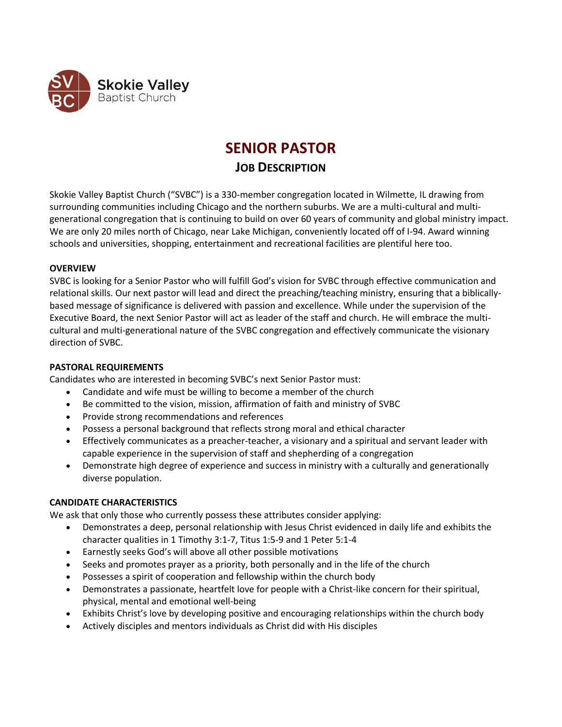

# **SENIOR PASTOR**

# **JOB DESCRIPTION**

Skokie Valley Baptist Church ("SVBC") is a 330-member congregation located in Wilmette, IL drawing from surrounding communities including Chicago and the northern suburbs. We are a multi-cultural and multigenerational congregation that is continuing to build on over 60 years of community and global ministry impact. We are only 20 miles north of Chicago, near Lake Michigan, conveniently located off of I-94. Award winning schools and universities, shopping, entertainment and recreational facilities are plentiful here too.

# **OVERVIEW**

SVBC is looking for a Senior Pastor who will fulfill God's vision for SVBC through effective communication and relational skills. Our next pastor will lead and direct the preaching/teaching ministry, ensuring that a biblicallybased message of significance is delivered with passion and excellence. While under the supervision of the Executive Board, the next Senior Pastor will act as leader of the staff and church. He will embrace the multicultural and multi-generational nature of the SVBC congregation and effectively communicate the visionary direction of SVBC.

# **PASTORAL REQUIREMENTS**

Candidates who are interested in becoming SVBC's next Senior Pastor must:

- Candidate and wife must be willing to become a member of the church
- Be committed to the vision, mission, affirmation of faith and ministry of SVBC
- Provide strong recommendations and references
- Possess a personal background that reflects strong moral and ethical character
- Effectively communicates as a preacher-teacher, a visionary and a spiritual and servant leader with capable experience in the supervision of staff and shepherding of a congregation
- Demonstrate high degree of experience and success in ministry with a culturally and generationally diverse population.

# **CANDIDATE CHARACTERISTICS**

We ask that only those who currently possess these attributes consider applying:

- Demonstrates a deep, personal relationship with Jesus Christ evidenced in daily life and exhibits the character qualities in 1 Timothy 3:1-7, Titus 1:5-9 and 1 Peter 5:1-4
- Earnestly seeks God's will above all other possible motivations
- Seeks and promotes prayer as a priority, both personally and in the life of the church
- Possesses a spirit of cooperation and fellowship within the church body
- Demonstrates a passionate, heartfelt love for people with a Christ-like concern for their spiritual, physical, mental and emotional well-being
- Exhibits Christ's love by developing positive and encouraging relationships within the church body
- Actively disciples and mentors individuals as Christ did with His disciples